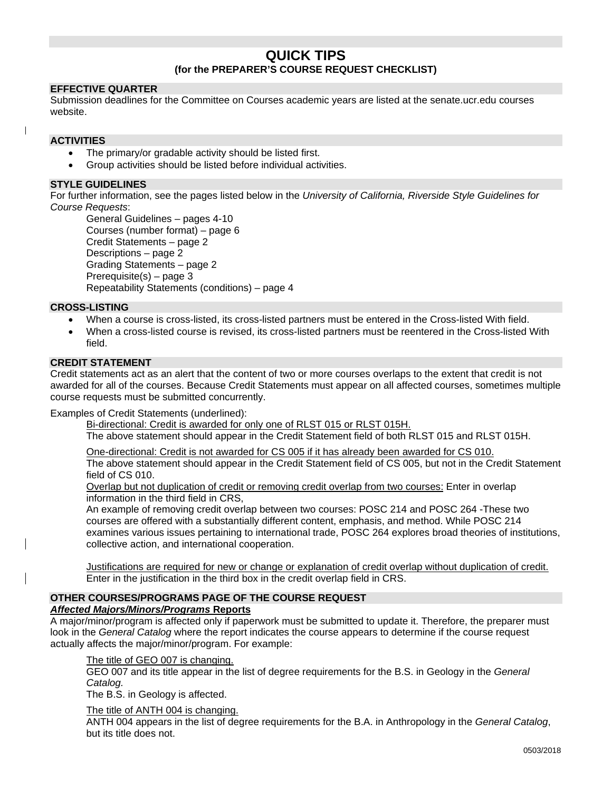# **QUICK TIPS (for the PREPARER'S COURSE REQUEST CHECKLIST)**

# **EFFECTIVE QUARTER**

Submission deadlines for the Committee on Courses academic years are listed at the senate.ucr.edu courses website.

#### **ACTIVITIES**

- The primary/or gradable activity should be listed first.
- Group activities should be listed before individual activities.

## **STYLE GUIDELINES**

For further information, see the pages listed below in the *University of California, Riverside Style Guidelines for Course Requests*:

```
General Guidelines – pages 4-10
Courses (number format) – page 6
Credit Statements – page 2
Descriptions – page 2
Grading Statements – page 2
Prerequisite(s) – page 3
Repeatability Statements (conditions) – page 4
```
## **CROSS-LISTING**

- When a course is cross-listed, its cross-listed partners must be entered in the Cross-listed With field.
- When a cross-listed course is revised, its cross-listed partners must be reentered in the Cross-listed With field.

## **CREDIT STATEMENT**

Credit statements act as an alert that the content of two or more courses overlaps to the extent that credit is not awarded for all of the courses. Because Credit Statements must appear on all affected courses, sometimes multiple course requests must be submitted concurrently.

Examples of Credit Statements (underlined):

Bi-directional: Credit is awarded for only one of RLST 015 or RLST 015H.

The above statement should appear in the Credit Statement field of both RLST 015 and RLST 015H.

One-directional: Credit is not awarded for CS 005 if it has already been awarded for CS 010.

The above statement should appear in the Credit Statement field of CS 005, but not in the Credit Statement field of CS 010.

Overlap but not duplication of credit or removing credit overlap from two courses: Enter in overlap information in the third field in CRS,

An example of removing credit overlap between two courses: POSC 214 and POSC 264 -These two courses are offered with a substantially different content, emphasis, and method. While POSC 214 examines various issues pertaining to international trade, POSC 264 explores broad theories of institutions, collective action, and international cooperation.

Justifications are required for new or change or explanation of credit overlap without duplication of credit. Enter in the justification in the third box in the credit overlap field in CRS.

# **OTHER COURSES/PROGRAMS PAGE OF THE COURSE REQUEST**

## *Affected Majors/Minors/Programs* **Reports**

A major/minor/program is affected only if paperwork must be submitted to update it. Therefore, the preparer must look in the *General Catalog* where the report indicates the course appears to determine if the course request actually affects the major/minor/program. For example:

#### The title of GEO 007 is changing.

GEO 007 and its title appear in the list of degree requirements for the B.S. in Geology in the *General Catalog.*

The B.S. in Geology is affected.

The title of ANTH 004 is changing.

ANTH 004 appears in the list of degree requirements for the B.A. in Anthropology in the *General Catalog*, but its title does not.